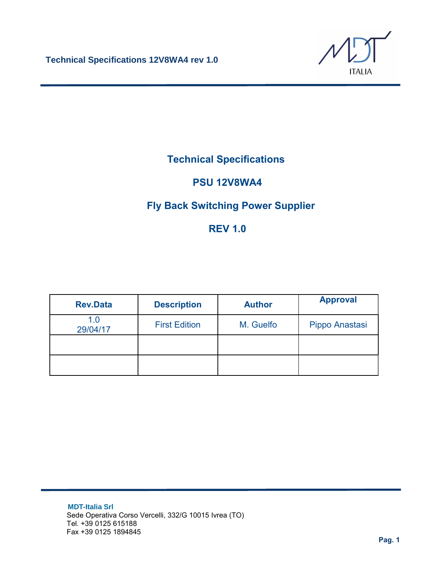

# **Technical Specifications**

## **PSU 12V8WA4**

## **Fly Back Switching Power Supplier**

# **REV 1.0**

| <b>Rev.Data</b> | <b>Description</b>   | <b>Author</b> | <b>Approval</b> |
|-----------------|----------------------|---------------|-----------------|
| 1.0<br>29/04/17 | <b>First Edition</b> | M. Guelfo     | Pippo Anastasi  |
|                 |                      |               |                 |
|                 |                      |               |                 |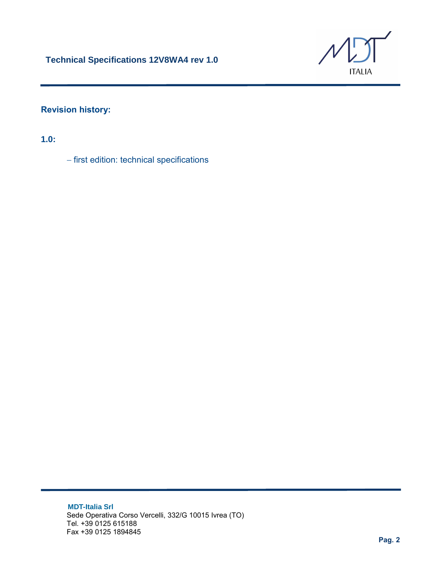

### **Revision history:**

**1.0:**

− first edition: technical specifications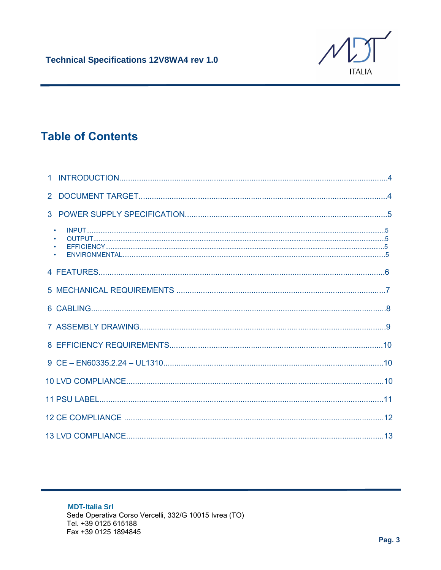

# **Table of Contents**

| $\bullet$<br>$\bullet$ |  |
|------------------------|--|
|                        |  |
|                        |  |
|                        |  |
|                        |  |
|                        |  |
|                        |  |
|                        |  |
|                        |  |
|                        |  |
|                        |  |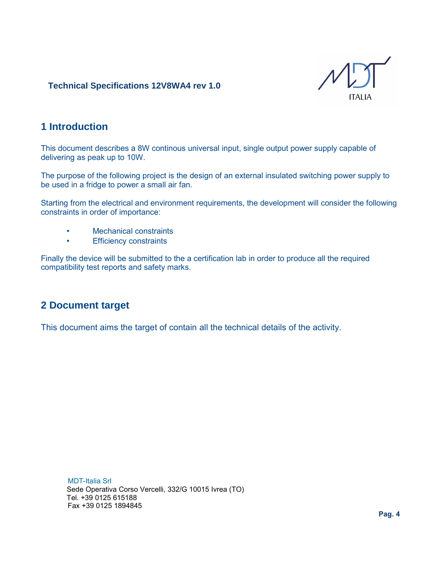

### **1 Introduction**

This document describes a 8W continous universal input, single output power supply capable of delivering as peak up to 10W.

The purpose of the following project is the design of an external insulated switching power supply to be used in a fridge to power a small air fan.

Starting from the electrical and environment requirements, the development will consider the following constraints in order of importance:

- Mechanical constraints
- Efficiency constraints

Finally the device will be submitted to the a certification lab in order to produce all the required compatibility test reports and safety marks.

#### **2 Document target**

This document aims the target of contain all the technical details of the activity.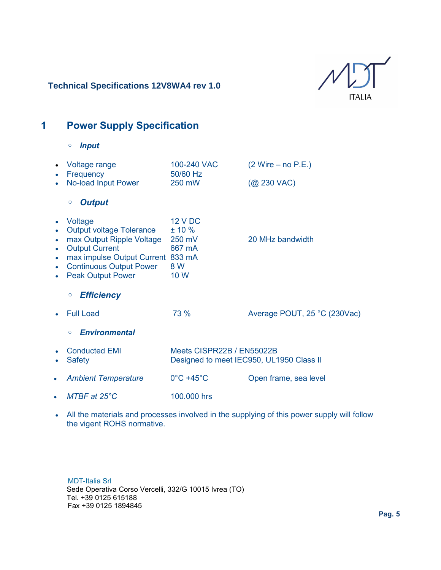

# **1 Power Supply Specification**

◦ *Input*

|                             | Voltage range<br>Frequency                                                                                                                                                                          | 100-240 VAC<br>50/60 Hz                                               | $(2 Write - no P.E.)$        |
|-----------------------------|-----------------------------------------------------------------------------------------------------------------------------------------------------------------------------------------------------|-----------------------------------------------------------------------|------------------------------|
|                             | No-load Input Power                                                                                                                                                                                 | 250 mW                                                                | $(Q)$ 230 VAC)               |
|                             | <b>Output</b><br>$\circ$                                                                                                                                                                            |                                                                       |                              |
| $\bullet$<br>$\bullet$<br>۰ | Voltage<br><b>Output voltage Tolerance</b><br>max Output Ripple Voltage<br><b>Output Current</b><br>max impulse Output Current 833 mA<br><b>Continuous Output Power</b><br><b>Peak Output Power</b> | <b>12 V DC</b><br>± 10%<br>250 mV<br>667 mA<br>8 W<br>10 W            | 20 MHz bandwidth             |
|                             | <b>Efficiency</b><br>$\circ$                                                                                                                                                                        |                                                                       |                              |
|                             | <b>Full Load</b>                                                                                                                                                                                    | 73 %                                                                  | Average POUT, 25 °C (230Vac) |
|                             | <b>Environmental</b><br>$\circ$                                                                                                                                                                     |                                                                       |                              |
|                             | <b>Conducted EMI</b><br><b>Safety</b>                                                                                                                                                               | Meets CISPR22B / EN55022B<br>Designed to meet IEC950, UL1950 Class II |                              |
| $\bullet$                   | <b>Ambient Temperature</b>                                                                                                                                                                          | $0^{\circ}$ C +45 $^{\circ}$ C                                        | Open frame, sea level        |
|                             | $MTBF$ at $25^{\circ}C$                                                                                                                                                                             | 100.000 hrs                                                           |                              |

• All the materials and processes involved in the supplying of this power supply will follow the vigent ROHS normative.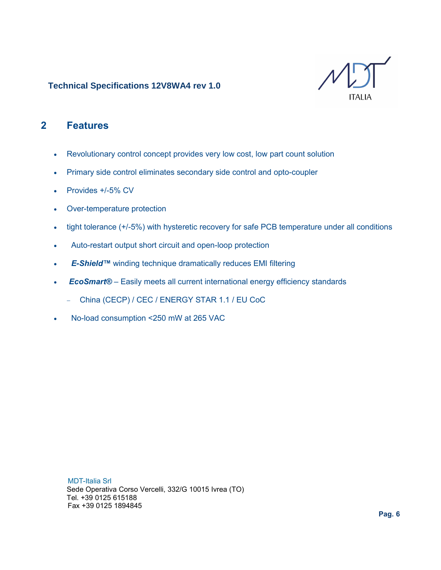

## **2 Features**

- Revolutionary control concept provides very low cost, low part count solution
- Primary side control eliminates secondary side control and opto-coupler
- Provides +/-5% CV
- Over-temperature protection
- tight tolerance (+/-5%) with hysteretic recovery for safe PCB temperature under all conditions
- Auto-restart output short circuit and open-loop protection
- E-Shield<sup>™</sup> winding technique dramatically reduces EMI filtering
- **EcoSmart®** Easily meets all current international energy efficiency standards
	- − China (CECP) / CEC / ENERGY STAR 1.1 / EU CoC
- No-load consumption <250 mW at 265 VAC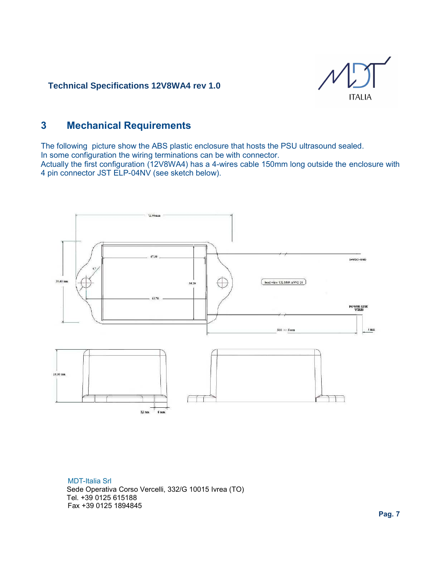

## **3 Mechanical Requirements**

The following picture show the ABS plastic enclosure that hosts the PSU ultrasound sealed. In some configuration the wiring terminations can be with connector. Actually the first configuration (12V8WA4) has a 4-wires cable 150mm long outside the enclosure with 4 pin connector JST ELP-04NV (see sketch below).

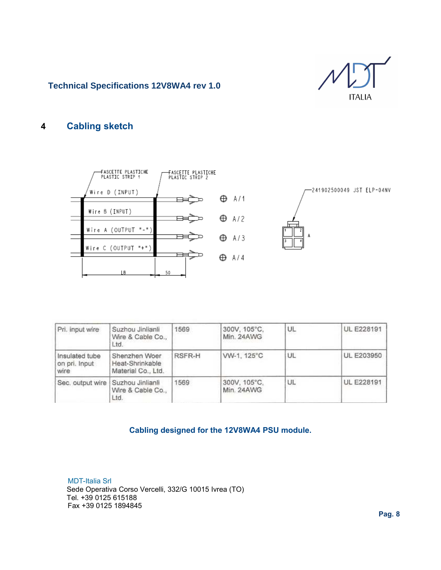

#### **4 Cabling sketch**



-241902500049 JST ELP-04NV



Pri. input wire Suzhou Jinlianli 1569 300V, 105°C, UL. UL E228191 Wire & Cable Co., Min. 24AWG Ltd. Shenzhen Woer RSFR-H VW-1, 125°C UL **UL E203950** Insulated tube on pri. Input Heat-Shrinkable wire Material Co., Ltd. 300V, 105°C, UL **UL E228191** Sec. output wire Suzhou Jinlianli 1569 Wire & Cable Co., Min. 24AWG Ltd.

#### **Cabling designed for the 12V8WA4 PSU module.**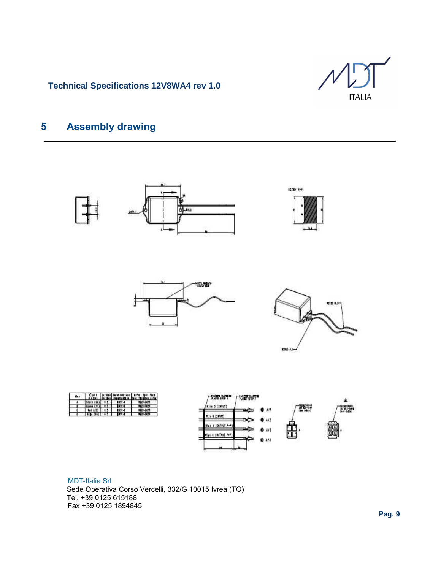

# **5 Assembly drawing**

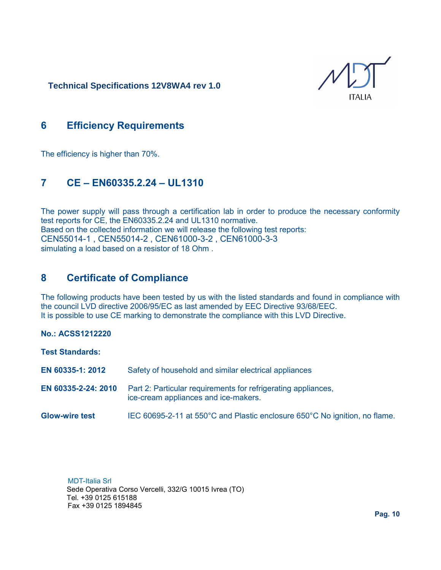ITAI IA

## **6 Efficiency Requirements**

The efficiency is higher than 70%.

## **7 CE – EN60335.2.24 – UL1310**

The power supply will pass through a certification lab in order to produce the necessary conformity test reports for CE, the EN60335.2.24 and UL1310 normative. Based on the collected information we will release the following test reports: CEN55014-1 , CEN55014-2 , CEN61000-3-2 , CEN61000-3-3 simulating a load based on a resistor of 18 Ohm .

## **8 Certificate of Compliance**

The following products have been tested by us with the listed standards and found in compliance with the council LVD directive 2006/95/EC as last amended by EEC Directive 93/68/EEC. It is possible to use CE marking to demonstrate the compliance with this LVD Directive.

#### **No.: ACSS1212220**

**Test Standards:**

- **EN 60335-1: 2012** Safety of household and similar electrical appliances
- **EN 60335-2-24: 2010** Part 2: Particular requirements for refrigerating appliances, ice-cream appliances and ice-makers.
- **Glow-wire test** IEC 60695-2-11 at 550°C and Plastic enclosure 650°C No ignition, no flame.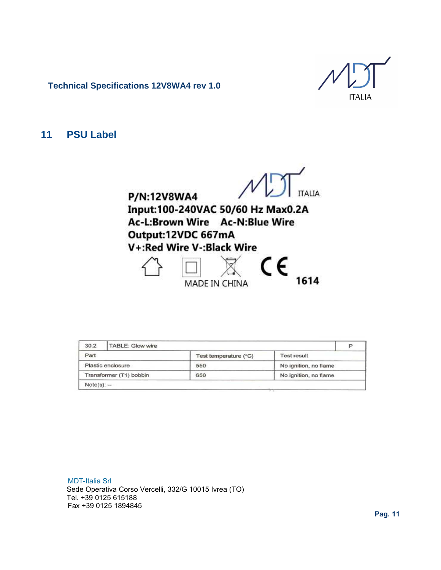**ITALIA** 

**11 PSU Label**

**ITALIA** 

P/N:12V8WA4 Input:100-240VAC 50/60 Hz Max0.2A Ac-L:Brown Wire Ac-N:Blue Wire Output:12VDC 667mA V+:Red Wire V-:Black Wire



| 30.2                    | <b>TABLE: Glow wire</b> |                       |                       |  |
|-------------------------|-------------------------|-----------------------|-----------------------|--|
| Part                    |                         | Test temperature (°C) | <b>Test result</b>    |  |
|                         | Plastic enclosure       | 550                   | No ignition, no flame |  |
| Transformer (T1) bobbin |                         | 650                   | No ignition, no flame |  |
| $Note(s): -$            |                         |                       |                       |  |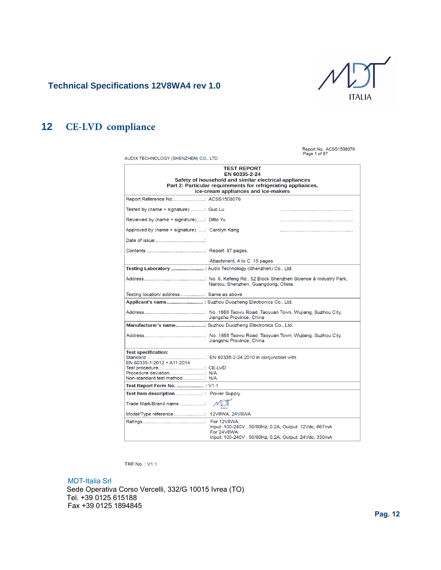

#### **12 CE-LVD compliance**

| AUDIX TECHNOLOGY (SHENZHEN) CO., LTD                                                                                                                                                                 |                                                                                                                             | Report No.: ACSS1508076<br>Page 1 of 87 |  |  |  |
|------------------------------------------------------------------------------------------------------------------------------------------------------------------------------------------------------|-----------------------------------------------------------------------------------------------------------------------------|-----------------------------------------|--|--|--|
| <b>TEST REPORT</b><br>EN 60335-2-24<br>Safety of household and similar electrical appliances<br>Part 2: Particular requirements for refrigerating appliances,<br>ice-cream appliances and ice-makers |                                                                                                                             |                                         |  |  |  |
| Report Reference No ACSS1508076                                                                                                                                                                      |                                                                                                                             |                                         |  |  |  |
| Tested by (name + signature) : Guo Lu                                                                                                                                                                |                                                                                                                             |                                         |  |  |  |
| Reviewed by (name + signature): Ditto Yu                                                                                                                                                             |                                                                                                                             |                                         |  |  |  |
| Approved by (name + signature) : Carolyn Kang                                                                                                                                                        |                                                                                                                             |                                         |  |  |  |
|                                                                                                                                                                                                      |                                                                                                                             |                                         |  |  |  |
|                                                                                                                                                                                                      |                                                                                                                             |                                         |  |  |  |
|                                                                                                                                                                                                      | Attachment: A to C: 15 pages                                                                                                |                                         |  |  |  |
| Testing Laboratory  : Audix Technology (Shenzhen) Co., Ltd.                                                                                                                                          |                                                                                                                             |                                         |  |  |  |
|                                                                                                                                                                                                      | Nantou, Shenzhen, Guangdong, China.                                                                                         |                                         |  |  |  |
| Testing location/ address Same as above                                                                                                                                                              |                                                                                                                             |                                         |  |  |  |
| Applicant's name : Suzhou Duozheng Electronics Co., Ltd.                                                                                                                                             |                                                                                                                             |                                         |  |  |  |
|                                                                                                                                                                                                      | Jiangshu Province, China                                                                                                    |                                         |  |  |  |
| Manufacturer's name: Suzhou Duozheng Electronics Co., Ltd.                                                                                                                                           |                                                                                                                             |                                         |  |  |  |
|                                                                                                                                                                                                      | Jiangshu Province, China                                                                                                    |                                         |  |  |  |
| <b>Test specification:</b><br>EN 60335-1:2012 + A11:2014<br>Non-standard test method N/A                                                                                                             |                                                                                                                             |                                         |  |  |  |
| Test Report Form No.  : V1.1                                                                                                                                                                         |                                                                                                                             |                                         |  |  |  |
|                                                                                                                                                                                                      |                                                                                                                             |                                         |  |  |  |
| Trade Mark/Brand name                                                                                                                                                                                |                                                                                                                             |                                         |  |  |  |
| Model/Type reference  12V8WA, 24V8WA                                                                                                                                                                 |                                                                                                                             |                                         |  |  |  |
|                                                                                                                                                                                                      | Input: 100-240V, 50/60Hz, 0.2A; Output: 12Vdc, 667mA<br>For 24V8WA:<br>Input: 100-240V, 50/60Hz, 0.2A; Output: 24Vdc, 330mA |                                         |  |  |  |

**TRF No.: V1.1**